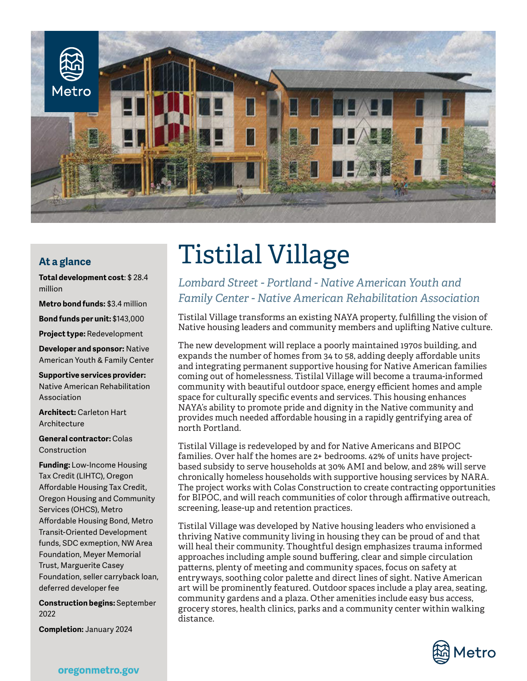

## **At a glance**

**Total development cost**: \$ 28.4 million

**Metro bond funds:** \$3.4 million

**Bond funds per unit:** \$143,000

**Project type:** Redevelopment

**Developer and sponsor:** Native American Youth & Family Center

**Supportive services provider:** Native American Rehabilitation Association

**Architect:** Carleton Hart **Architecture** 

**General contractor:** Colas Construction

**Funding:** Low-Income Housing Tax Credit (LIHTC), Oregon Affordable Housing Tax Credit, Oregon Housing and Community Services (OHCS), Metro Affordable Housing Bond, Metro Transit-Oriented Development funds, SDC exmeption, NW Area Foundation, Meyer Memorial Trust, Marguerite Casey Foundation, seller carryback loan, deferred developer fee

**Construction begins:** September 2022

**Completion:** January 2024

## Tistilal Village

*Lombard Street - Portland - Native American Youth and Family Center - Native American Rehabilitation Association*

Tistilal Village transforms an existing NAYA property, fulfilling the vision of Native housing leaders and community members and uplifting Native culture.

The new development will replace a poorly maintained 1970s building, and expands the number of homes from 34 to 58, adding deeply affordable units and integrating permanent supportive housing for Native American families coming out of homelessness. Tistilal Village will become a trauma-informed community with beautiful outdoor space, energy efficient homes and ample space for culturally specific events and services. This housing enhances NAYA's ability to promote pride and dignity in the Native community and provides much needed affordable housing in a rapidly gentrifying area of north Portland.

Tistilal Village is redeveloped by and for Native Americans and BIPOC families. Over half the homes are 2+ bedrooms. 42% of units have projectbased subsidy to serve households at 30% AMI and below, and 28% will serve chronically homeless households with supportive housing services by NARA. The project works with Colas Construction to create contracting opportunities for BIPOC, and will reach communities of color through affirmative outreach, screening, lease-up and retention practices.

Tistilal Village was developed by Native housing leaders who envisioned a thriving Native community living in housing they can be proud of and that will heal their community. Thoughtful design emphasizes trauma informed approaches including ample sound buffering, clear and simple circulation patterns, plenty of meeting and community spaces, focus on safety at entryways, soothing color palette and direct lines of sight. Native American art will be prominently featured. Outdoor spaces include a play area, seating, community gardens and a plaza. Other amenities include easy bus access, grocery stores, health clinics, parks and a community center within walking distance.